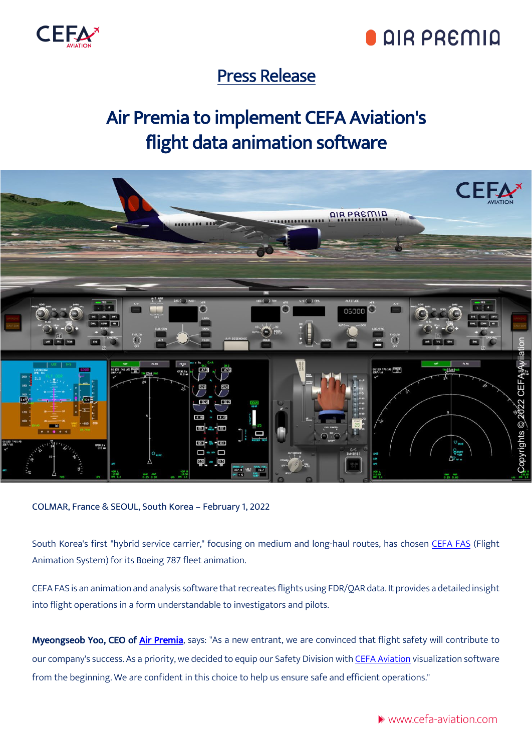

# **QIR PREMIQ**

### Press Release

## Air Premia to implement CEFA Aviation's flight data animation software



COLMAR, France & SEOUL, South Korea – February 1, 2022

South Korea's first "hybrid service carrier," focusing on medium and long-haul routes, has chosen [CEFA FAS](https://www.cefa-aviation.com/flight-animation-software/) (Flight Animation System) for its Boeing 787 fleet animation.

CEFA FAS is an animation and analysis software that recreates flights using FDR/QAR data. It provides a detailed insight into flight operations in a form understandable to investigators and pilots.

Myeongseob Yoo, CEO of [Air Premia](https://en.airpremia.com/), says: "As a new entrant, we are convinced that flight safety will contribute to our company's success. As a priority, we decided to equip our Safety Division with [CEFA Aviation](https://www.cefa-aviation.com/) visualization software from the beginning. We are confident in this choice to help us ensure safe and efficient operations."